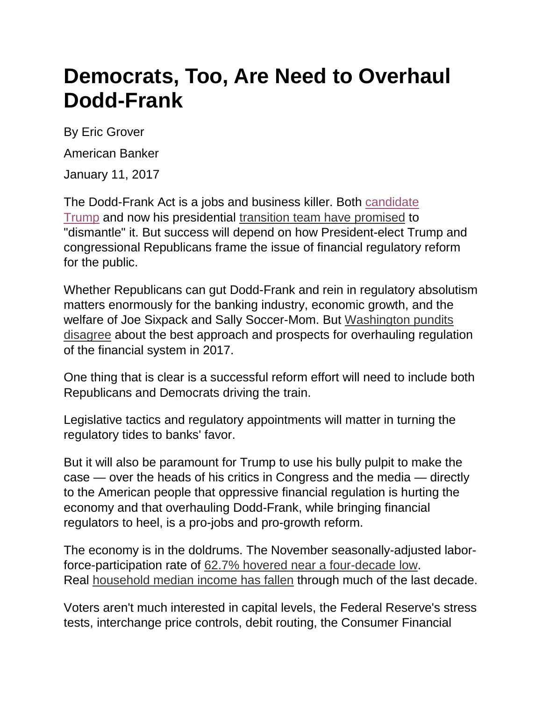## **Democrats, Too, Are Need to Overhaul Dodd-Frank**

By Eric Grover

American Banker

January 11, 2017

The Dodd-Frank Act is a jobs and business killer. Both [candidate](http://www.reuters.com/article/us-usa-election-trump-banks-idUSKCN0Y900J)  [Trump](http://www.reuters.com/article/us-usa-election-trump-banks-idUSKCN0Y900J) and now his presidential [transition team have promised](http://www.americanbanker.com/news/law-regulation/trump-gives-banks-their-best-shot-at-rolling-back-dodd-frank-1092375-1.html) to "dismantle" it. But success will depend on how President-elect Trump and congressional Republicans frame the issue of financial regulatory reform for the public.

Whether Republicans can gut Dodd-Frank and rein in regulatory absolutism matters enormously for the banking industry, economic growth, and the welfare of Joe Sixpack and Sally Soccer-Mom. But [Washington pundits](http://www.americanbanker.com/news/law-regulation/four-ways-the-gop-could-roll-back-dodd-frank-in-2017-1093139-1.html)  [disagree](http://www.americanbanker.com/news/law-regulation/four-ways-the-gop-could-roll-back-dodd-frank-in-2017-1093139-1.html) about the best approach and prospects for overhauling regulation of the financial system in 2017.

One thing that is clear is a successful reform effort will need to include both Republicans and Democrats driving the train.

Legislative tactics and regulatory appointments will matter in turning the regulatory tides to banks' favor.

But it will also be paramount for Trump to use his bully pulpit to make the case — over the heads of his critics in Congress and the media — directly to the American people that oppressive financial regulation is hurting the economy and that overhauling Dodd-Frank, while bringing financial regulators to heel, is a pro-jobs and pro-growth reform.

The economy is in the doldrums. The November seasonally-adjusted laborforce-participation rate of [62.7% hovered near a four-decade low.](https://fred.stlouisfed.org/series/CIVPART) Real [household median income has fallen](https://fred.stlouisfed.org/series/MEHOINUSA672N) through much of the last decade.

Voters aren't much interested in capital levels, the Federal Reserve's stress tests, interchange price controls, debit routing, the Consumer Financial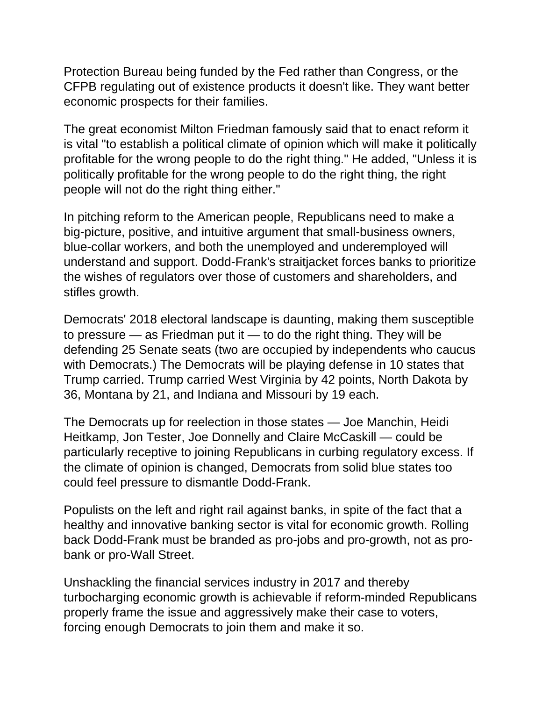Protection Bureau being funded by the Fed rather than Congress, or the CFPB regulating out of existence products it doesn't like. They want better economic prospects for their families.

The great economist Milton Friedman famously said that to enact reform it is vital "to establish a political climate of opinion which will make it politically profitable for the wrong people to do the right thing." He added, "Unless it is politically profitable for the wrong people to do the right thing, the right people will not do the right thing either."

In pitching reform to the American people, Republicans need to make a big-picture, positive, and intuitive argument that small-business owners, blue-collar workers, and both the unemployed and underemployed will understand and support. Dodd-Frank's straitjacket forces banks to prioritize the wishes of regulators over those of customers and shareholders, and stifles growth.

Democrats' 2018 electoral landscape is daunting, making them susceptible to pressure — as Friedman put it — to do the right thing. They will be defending 25 Senate seats (two are occupied by independents who caucus with Democrats.) The Democrats will be playing defense in 10 states that Trump carried. Trump carried West Virginia by 42 points, North Dakota by 36, Montana by 21, and Indiana and Missouri by 19 each.

The Democrats up for reelection in those states — Joe Manchin, Heidi Heitkamp, Jon Tester, Joe Donnelly and Claire McCaskill — could be particularly receptive to joining Republicans in curbing regulatory excess. If the climate of opinion is changed, Democrats from solid blue states too could feel pressure to dismantle Dodd-Frank.

Populists on the left and right rail against banks, in spite of the fact that a healthy and innovative banking sector is vital for economic growth. Rolling back Dodd-Frank must be branded as pro-jobs and pro-growth, not as probank or pro-Wall Street.

Unshackling the financial services industry in 2017 and thereby turbocharging economic growth is achievable if reform-minded Republicans properly frame the issue and aggressively make their case to voters, forcing enough Democrats to join them and make it so.